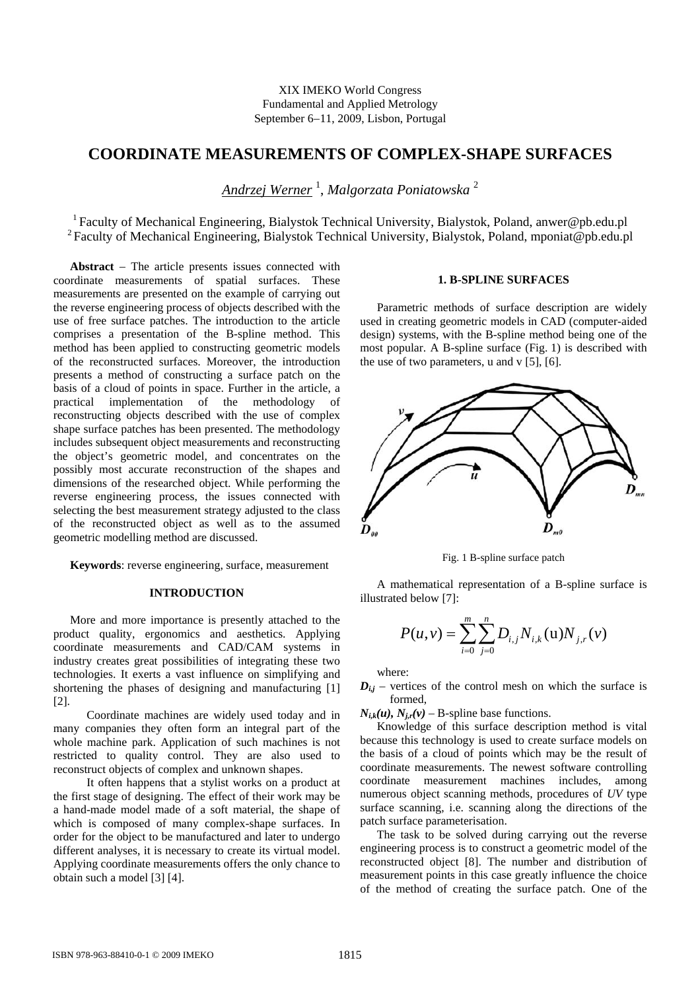XIX IMEKO World Congress Fundamental and Applied Metrology September 6−11, 2009, Lisbon, Portugal

# **COORDINATE MEASUREMENTS OF COMPLEX-SHAPE SURFACES**

*Andrzej Werner* <sup>1</sup> , *Malgorzata Poniatowska* <sup>2</sup>

<sup>1</sup> Faculty of Mechanical Engineering, Bialystok Technical University, Bialystok, Poland, anwer@pb.edu.pl <sup>2</sup> Faculty of Mechanical Engineering, Bialystok Technical University, Bialystok, Poland, mponiat@pb.edu.pl

**Abstract** − The article presents issues connected with coordinate measurements of spatial surfaces. These measurements are presented on the example of carrying out the reverse engineering process of objects described with the use of free surface patches. The introduction to the article comprises a presentation of the B-spline method. This method has been applied to constructing geometric models of the reconstructed surfaces. Moreover, the introduction presents a method of constructing a surface patch on the basis of a cloud of points in space. Further in the article, a practical implementation of the methodology of reconstructing objects described with the use of complex shape surface patches has been presented. The methodology includes subsequent object measurements and reconstructing the object's geometric model, and concentrates on the possibly most accurate reconstruction of the shapes and dimensions of the researched object. While performing the reverse engineering process, the issues connected with selecting the best measurement strategy adjusted to the class of the reconstructed object as well as to the assumed geometric modelling method are discussed.

**Keywords**: reverse engineering, surface, measurement

#### **INTRODUCTION**

More and more importance is presently attached to the product quality, ergonomics and aesthetics. Applying coordinate measurements and CAD/CAM systems in industry creates great possibilities of integrating these two technologies. It exerts a vast influence on simplifying and shortening the phases of designing and manufacturing [1] [2].

Coordinate machines are widely used today and in many companies they often form an integral part of the whole machine park. Application of such machines is not restricted to quality control. They are also used to reconstruct objects of complex and unknown shapes.

It often happens that a stylist works on a product at the first stage of designing. The effect of their work may be a hand-made model made of a soft material, the shape of which is composed of many complex-shape surfaces. In order for the object to be manufactured and later to undergo different analyses, it is necessary to create its virtual model. Applying coordinate measurements offers the only chance to obtain such a model [3] [4].

#### **1. B-SPLINE SURFACES**

Parametric methods of surface description are widely used in creating geometric models in CAD (computer-aided design) systems, with the B-spline method being one of the most popular. A B-spline surface (Fig. 1) is described with the use of two parameters, u and v  $[5]$ ,  $[6]$ .



Fig. 1 B-spline surface patch

A mathematical representation of a B-spline surface is illustrated below [7]:

$$
P(u,v) = \sum_{i=0}^{m} \sum_{j=0}^{n} D_{i,j} N_{i,k}(u) N_{j,r}(v)
$$

where:

 $D_{i,j}$  – vertices of the control mesh on which the surface is formed,

 $N_{ik}(u)$ ,  $N_{ir}(v)$  – B-spline base functions.

Knowledge of this surface description method is vital because this technology is used to create surface models on the basis of a cloud of points which may be the result of coordinate measurements. The newest software controlling coordinate measurement machines includes, among numerous object scanning methods, procedures of *UV* type surface scanning, i.e. scanning along the directions of the patch surface parameterisation.

The task to be solved during carrying out the reverse engineering process is to construct a geometric model of the reconstructed object [8]. The number and distribution of measurement points in this case greatly influence the choice of the method of creating the surface patch. One of the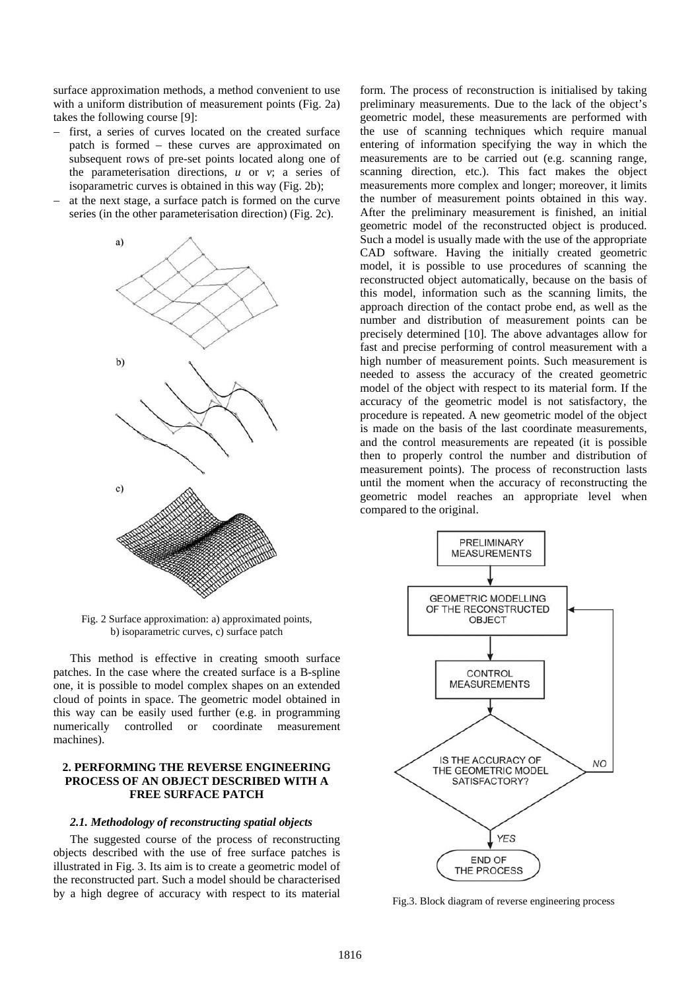surface approximation methods, a method convenient to use with a uniform distribution of measurement points (Fig. 2a) takes the following course [9]:

- first, a series of curves located on the created surface patch is formed – these curves are approximated on subsequent rows of pre-set points located along one of the parameterisation directions, *u* or *v*; a series of isoparametric curves is obtained in this way (Fig. 2b);
- at the next stage, a surface patch is formed on the curve series (in the other parameterisation direction) (Fig. 2c).



Fig. 2 Surface approximation: a) approximated points, b) isoparametric curves, c) surface patch

This method is effective in creating smooth surface patches. In the case where the created surface is a B-spline one, it is possible to model complex shapes on an extended cloud of points in space. The geometric model obtained in this way can be easily used further (e.g. in programming numerically controlled or coordinate measurement machines).

## **2. PERFORMING THE REVERSE ENGINEERING PROCESS OF AN OBJECT DESCRIBED WITH A FREE SURFACE PATCH**

#### *2.1. Methodology of reconstructing spatial objects*

The suggested course of the process of reconstructing objects described with the use of free surface patches is illustrated in Fig. 3. Its aim is to create a geometric model of the reconstructed part. Such a model should be characterised by a high degree of accuracy with respect to its material

form. The process of reconstruction is initialised by taking preliminary measurements. Due to the lack of the object's geometric model, these measurements are performed with the use of scanning techniques which require manual entering of information specifying the way in which the measurements are to be carried out (e.g. scanning range, scanning direction, etc.). This fact makes the object measurements more complex and longer; moreover, it limits the number of measurement points obtained in this way. After the preliminary measurement is finished, an initial geometric model of the reconstructed object is produced. Such a model is usually made with the use of the appropriate CAD software. Having the initially created geometric model, it is possible to use procedures of scanning the reconstructed object automatically, because on the basis of this model, information such as the scanning limits, the approach direction of the contact probe end, as well as the number and distribution of measurement points can be precisely determined [10]. The above advantages allow for fast and precise performing of control measurement with a high number of measurement points. Such measurement is needed to assess the accuracy of the created geometric model of the object with respect to its material form. If the accuracy of the geometric model is not satisfactory, the procedure is repeated. A new geometric model of the object is made on the basis of the last coordinate measurements, and the control measurements are repeated (it is possible then to properly control the number and distribution of measurement points). The process of reconstruction lasts until the moment when the accuracy of reconstructing the geometric model reaches an appropriate level when compared to the original.



Fig.3. Block diagram of reverse engineering process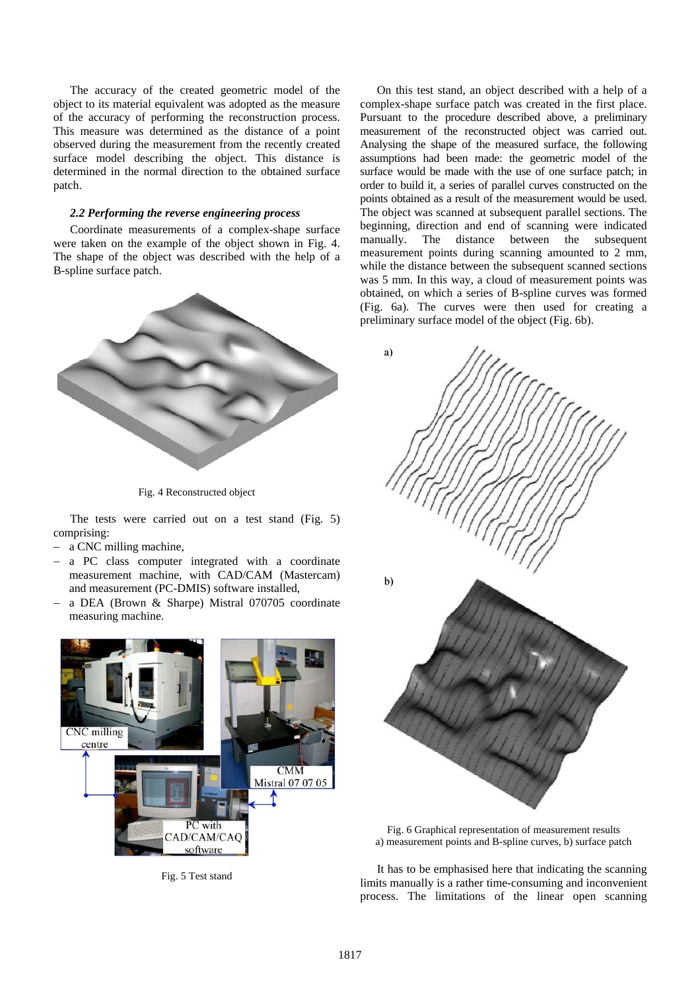The accuracy of the created geometric model of the object to its material equivalent was adopted as the measure of the accuracy of performing the reconstruction process. This measure was determined as the distance of a point observed during the measurement from the recently created surface model describing the object. This distance is determined in the normal direction to the obtained surface patch.

#### *2.2 Performing the reverse engineering process*

Coordinate measurements of a complex-shape surface were taken on the example of the object shown in Fig. 4. The shape of the object was described with the help of a B-spline surface patch.



Fig. 4 Reconstructed object

The tests were carried out on a test stand (Fig. 5) comprising:

- a CNC milling machine,
- a PC class computer integrated with a coordinate measurement machine, with CAD/CAM (Mastercam) and measurement (PC-DMIS) software installed,
- − a DEA (Brown & Sharpe) Mistral 070705 coordinate measuring machine.



Fig. 5 Test stand

On this test stand, an object described with a help of a complex-shape surface patch was created in the first place. Pursuant to the procedure described above, a preliminary measurement of the reconstructed object was carried out. Analysing the shape of the measured surface, the following assumptions had been made: the geometric model of the surface would be made with the use of one surface patch; in order to build it, a series of parallel curves constructed on the points obtained as a result of the measurement would be used. The object was scanned at subsequent parallel sections. The beginning, direction and end of scanning were indicated manually. The distance between the subsequent measurement points during scanning amounted to 2 mm, while the distance between the subsequent scanned sections was 5 mm. In this way, a cloud of measurement points was obtained, on which a series of B-spline curves was formed (Fig. 6a). The curves were then used for creating a preliminary surface model of the object (Fig. 6b).





It has to be emphasised here that indicating the scanning limits manually is a rather time-consuming and inconvenient process. The limitations of the linear open scanning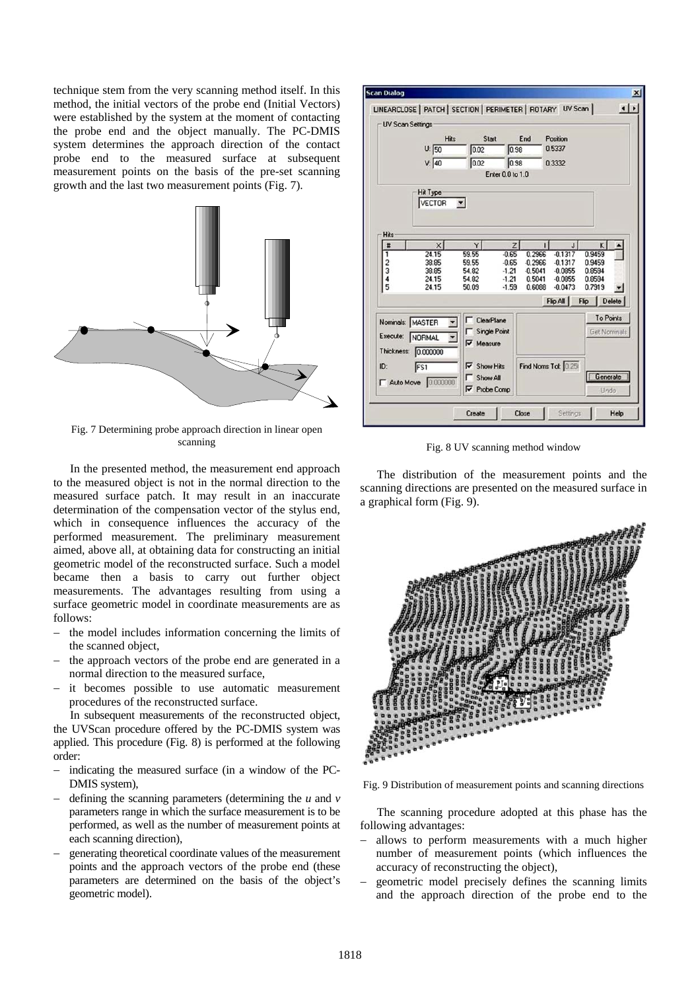technique stem from the very scanning method itself. In this method, the initial vectors of the probe end (Initial Vectors) were established by the system at the moment of contacting the probe end and the object manually. The PC-DMIS system determines the approach direction of the contact probe end to the measured surface at subsequent measurement points on the basis of the pre-set scanning growth and the last two measurement points (Fig. 7).



Fig. 7 Determining probe approach direction in linear open scanning

In the presented method, the measurement end approach to the measured object is not in the normal direction to the measured surface patch. It may result in an inaccurate determination of the compensation vector of the stylus end, which in consequence influences the accuracy of the performed measurement. The preliminary measurement aimed, above all, at obtaining data for constructing an initial geometric model of the reconstructed surface. Such a model became then a basis to carry out further object measurements. The advantages resulting from using a surface geometric model in coordinate measurements are as follows:

- the model includes information concerning the limits of the scanned object,
- the approach vectors of the probe end are generated in a normal direction to the measured surface,
- − it becomes possible to use automatic measurement procedures of the reconstructed surface.

In subsequent measurements of the reconstructed object, the UVScan procedure offered by the PC-DMIS system was applied. This procedure (Fig. 8) is performed at the following order:

- indicating the measured surface (in a window of the PC-DMIS system),
- − defining the scanning parameters (determining the *u* and *v* parameters range in which the surface measurement is to be performed, as well as the number of measurement points at each scanning direction),
- generating theoretical coordinate values of the measurement points and the approach vectors of the probe end (these parameters are determined on the basis of the object's geometric model).



Fig. 8 UV scanning method window

The distribution of the measurement points and the scanning directions are presented on the measured surface in a graphical form (Fig. 9).



Fig. 9 Distribution of measurement points and scanning directions

The scanning procedure adopted at this phase has the following advantages:

- allows to perform measurements with a much higher number of measurement points (which influences the accuracy of reconstructing the object),
- geometric model precisely defines the scanning limits and the approach direction of the probe end to the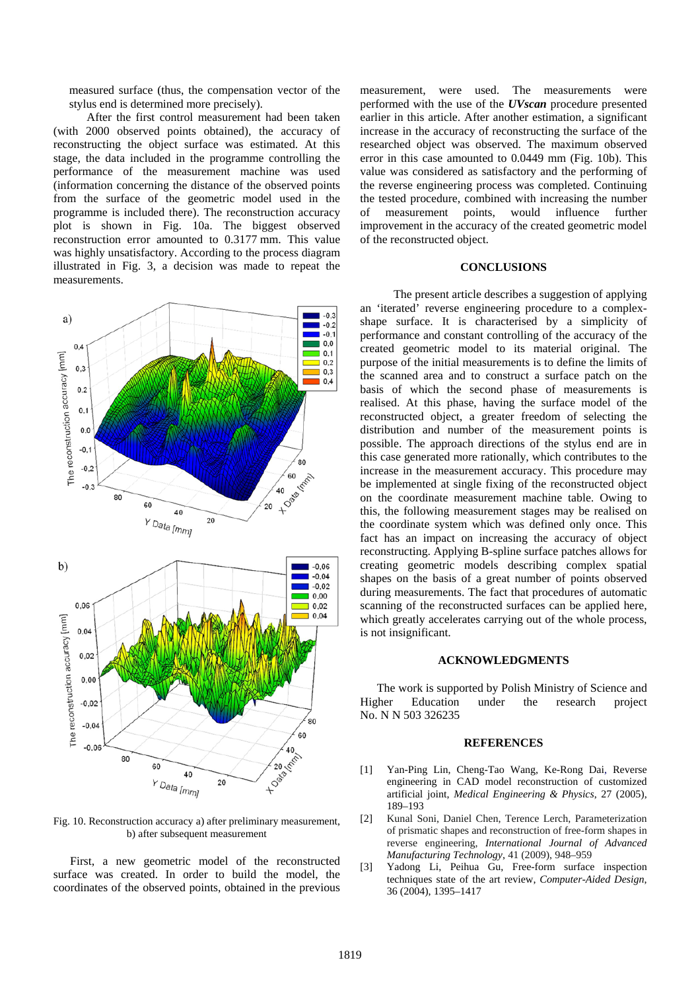measured surface (thus, the compensation vector of the stylus end is determined more precisely).

After the first control measurement had been taken (with 2000 observed points obtained), the accuracy of reconstructing the object surface was estimated. At this stage, the data included in the programme controlling the performance of the measurement machine was used (information concerning the distance of the observed points from the surface of the geometric model used in the programme is included there). The reconstruction accuracy plot is shown in Fig. 10a. The biggest observed reconstruction error amounted to 0.3177 mm. This value was highly unsatisfactory. According to the process diagram illustrated in Fig. 3, a decision was made to repeat the measurements.



Fig. 10. Reconstruction accuracy a) after preliminary measurement, b) after subsequent measurement

First, a new geometric model of the reconstructed surface was created. In order to build the model, the coordinates of the observed points, obtained in the previous measurement, were used. The measurements were performed with the use of the *UVscan* procedure presented earlier in this article. After another estimation, a significant increase in the accuracy of reconstructing the surface of the researched object was observed. The maximum observed error in this case amounted to 0.0449 mm (Fig. 10b). This value was considered as satisfactory and the performing of the reverse engineering process was completed. Continuing the tested procedure, combined with increasing the number of measurement points, would influence further improvement in the accuracy of the created geometric model of the reconstructed object.

### **CONCLUSIONS**

The present article describes a suggestion of applying an 'iterated' reverse engineering procedure to a complexshape surface. It is characterised by a simplicity of performance and constant controlling of the accuracy of the created geometric model to its material original. The purpose of the initial measurements is to define the limits of the scanned area and to construct a surface patch on the basis of which the second phase of measurements is realised. At this phase, having the surface model of the reconstructed object, a greater freedom of selecting the distribution and number of the measurement points is possible. The approach directions of the stylus end are in this case generated more rationally, which contributes to the increase in the measurement accuracy. This procedure may be implemented at single fixing of the reconstructed object on the coordinate measurement machine table. Owing to this, the following measurement stages may be realised on the coordinate system which was defined only once. This fact has an impact on increasing the accuracy of object reconstructing. Applying B-spline surface patches allows for creating geometric models describing complex spatial shapes on the basis of a great number of points observed during measurements. The fact that procedures of automatic scanning of the reconstructed surfaces can be applied here, which greatly accelerates carrying out of the whole process, is not insignificant.

#### **ACKNOWLEDGMENTS**

The work is supported by Polish Ministry of Science and Higher Education under the research project No. N N 503 326235

#### **REFERENCES**

- [1] Yan-Ping Lin, Cheng-Tao Wang, Ke-Rong Dai, Reverse engineering in CAD model reconstruction of customized artificial joint, *Medical Engineering & Physics*, 27 (2005), 189–193
- [2] Kunal Soni, Daniel Chen, Terence Lerch, Parameterization of prismatic shapes and reconstruction of free-form shapes in reverse engineering, *International Journal of Advanced Manufacturing Technology*, 41 (2009), 948–959
- [3] Yadong Li, Peihua Gu, Free-form surface inspection techniques state of the art review, *Computer-Aided Design*, 36 (2004), 1395–1417